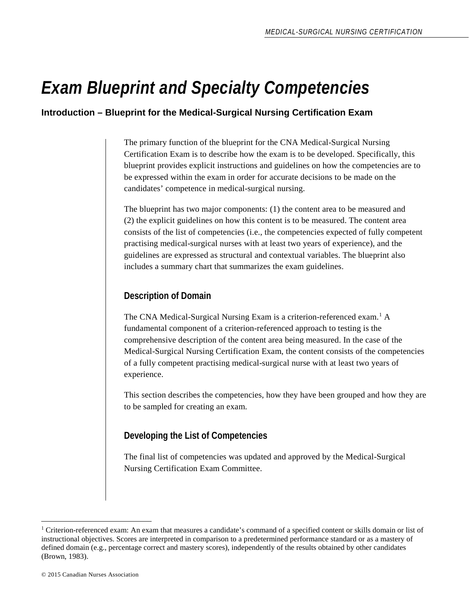## *Exam Blueprint and Specialty Competencies*

#### **Introduction – Blueprint for the Medical-Surgical Nursing Certification Exam**

The primary function of the blueprint for the CNA Medical-Surgical Nursing Certification Exam is to describe how the exam is to be developed. Specifically, this blueprint provides explicit instructions and guidelines on how the competencies are to be expressed within the exam in order for accurate decisions to be made on the candidates' competence in medical-surgical nursing.

The blueprint has two major components: (1) the content area to be measured and (2) the explicit guidelines on how this content is to be measured. The content area consists of the list of competencies (i.e., the competencies expected of fully competent practising medical-surgical nurses with at least two years of experience), and the guidelines are expressed as structural and contextual variables. The blueprint also includes a summary chart that summarizes the exam guidelines.

#### **Description of Domain**

The CNA Medical-Surgical Nursing Exam is a criterion-referenced exam. [1](#page-0-0) A fundamental component of a criterion-referenced approach to testing is the comprehensive description of the content area being measured. In the case of the Medical-Surgical Nursing Certification Exam, the content consists of the competencies of a fully competent practising medical-surgical nurse with at least two years of experience.

This section describes the competencies, how they have been grouped and how they are to be sampled for creating an exam.

#### **Developing the List of Competencies**

The final list of competencies was updated and approved by the Medical-Surgical Nursing Certification Exam Committee.

 $\overline{a}$ 

<span id="page-0-0"></span><sup>&</sup>lt;sup>1</sup> Criterion-referenced exam: An exam that measures a candidate's command of a specified content or skills domain or list of instructional objectives. Scores are interpreted in comparison to a predetermined performance standard or as a mastery of defined domain (e.g., percentage correct and mastery scores), independently of the results obtained by other candidates (Brown, 1983).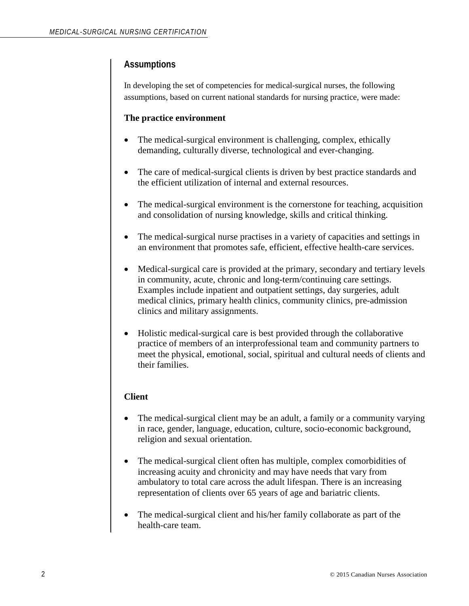#### **Assumptions**

In developing the set of competencies for medical-surgical nurses, the following assumptions, based on current national standards for nursing practice, were made:

#### **The practice environment**

- The medical-surgical environment is challenging, complex, ethically demanding, culturally diverse, technological and ever-changing.
- The care of medical-surgical clients is driven by best practice standards and the efficient utilization of internal and external resources.
- The medical-surgical environment is the cornerstone for teaching, acquisition and consolidation of nursing knowledge, skills and critical thinking.
- The medical-surgical nurse practises in a variety of capacities and settings in an environment that promotes safe, efficient, effective health-care services.
- Medical-surgical care is provided at the primary, secondary and tertiary levels in community, acute, chronic and long-term/continuing care settings. Examples include inpatient and outpatient settings, day surgeries, adult medical clinics, primary health clinics, community clinics, pre-admission clinics and military assignments.
- Holistic medical-surgical care is best provided through the collaborative practice of members of an interprofessional team and community partners to meet the physical, emotional, social, spiritual and cultural needs of clients and their families.

#### **Client**

- The medical-surgical client may be an adult, a family or a community varying in race, gender, language, education, culture, socio-economic background, religion and sexual orientation.
- The medical-surgical client often has multiple, complex comorbidities of increasing acuity and chronicity and may have needs that vary from ambulatory to total care across the adult lifespan. There is an increasing representation of clients over 65 years of age and bariatric clients.
- The medical-surgical client and his/her family collaborate as part of the health-care team.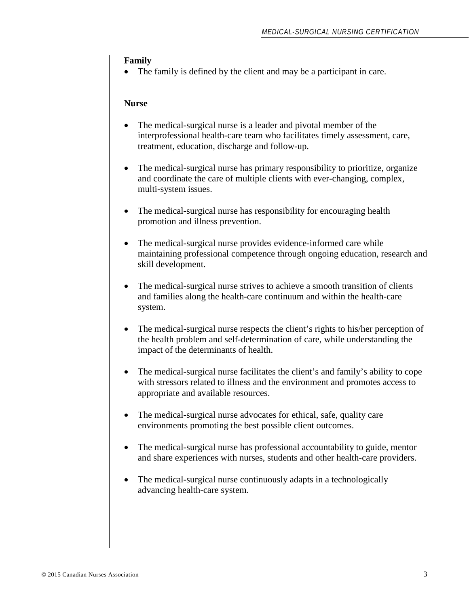#### **Family**

The family is defined by the client and may be a participant in care.

#### **Nurse**

- The medical-surgical nurse is a leader and pivotal member of the interprofessional health-care team who facilitates timely assessment, care, treatment, education, discharge and follow-up.
- The medical-surgical nurse has primary responsibility to prioritize, organize and coordinate the care of multiple clients with ever-changing, complex, multi-system issues.
- The medical-surgical nurse has responsibility for encouraging health promotion and illness prevention.
- The medical-surgical nurse provides evidence-informed care while maintaining professional competence through ongoing education, research and skill development.
- The medical-surgical nurse strives to achieve a smooth transition of clients and families along the health-care continuum and within the health-care system.
- The medical-surgical nurse respects the client's rights to his/her perception of the health problem and self-determination of care, while understanding the impact of the determinants of health.
- The medical-surgical nurse facilitates the client's and family's ability to cope with stressors related to illness and the environment and promotes access to appropriate and available resources.
- The medical-surgical nurse advocates for ethical, safe, quality care environments promoting the best possible client outcomes.
- The medical-surgical nurse has professional accountability to guide, mentor and share experiences with nurses, students and other health-care providers.
- The medical-surgical nurse continuously adapts in a technologically advancing health-care system.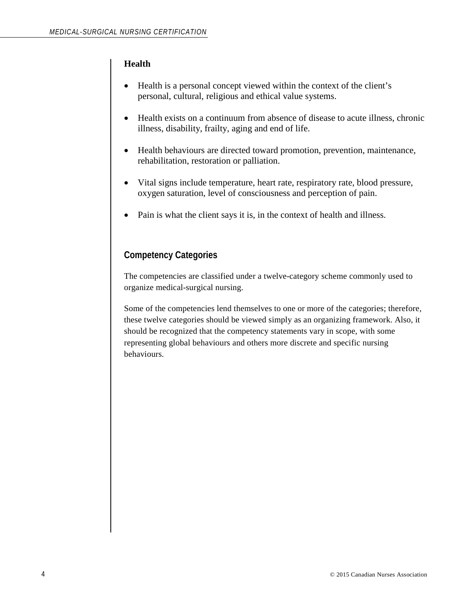#### **Health**

- Health is a personal concept viewed within the context of the client's personal, cultural, religious and ethical value systems.
- Health exists on a continuum from absence of disease to acute illness, chronic illness, disability, frailty, aging and end of life.
- Health behaviours are directed toward promotion, prevention, maintenance, rehabilitation, restoration or palliation.
- Vital signs include temperature, heart rate, respiratory rate, blood pressure, oxygen saturation, level of consciousness and perception of pain.
- Pain is what the client says it is, in the context of health and illness.

#### **Competency Categories**

The competencies are classified under a twelve-category scheme commonly used to organize medical-surgical nursing.

Some of the competencies lend themselves to one or more of the categories; therefore, these twelve categories should be viewed simply as an organizing framework. Also, it should be recognized that the competency statements vary in scope, with some representing global behaviours and others more discrete and specific nursing behaviours.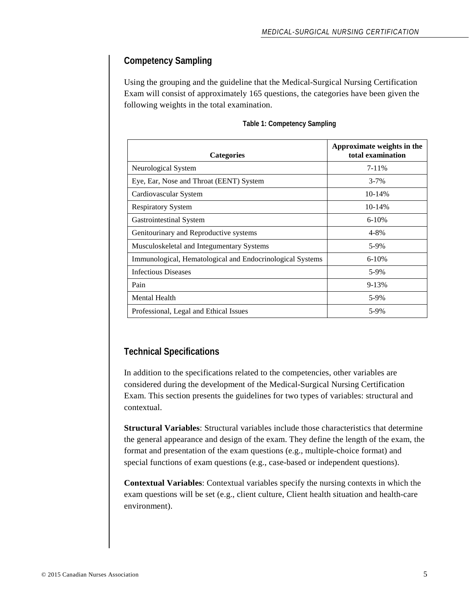#### **Competency Sampling**

Using the grouping and the guideline that the Medical-Surgical Nursing Certification Exam will consist of approximately 165 questions, the categories have been given the following weights in the total examination.

| <b>Categories</b>                                         | Approximate weights in the<br>total examination |
|-----------------------------------------------------------|-------------------------------------------------|
| Neurological System                                       | $7 - 11\%$                                      |
| Eye, Ear, Nose and Throat (EENT) System                   | $3 - 7%$                                        |
| Cardiovascular System                                     | 10-14%                                          |
| <b>Respiratory System</b>                                 | 10-14%                                          |
| Gastrointestinal System                                   | $6-10%$                                         |
| Genitourinary and Reproductive systems                    | $4 - 8\%$                                       |
| Musculoskeletal and Integumentary Systems                 | 5-9%                                            |
| Immunological, Hematological and Endocrinological Systems | $6-10%$                                         |
| <b>Infectious Diseases</b>                                | 5-9%                                            |
| Pain                                                      | $9 - 13%$                                       |
| <b>Mental Health</b>                                      | 5-9%                                            |
| Professional, Legal and Ethical Issues                    | 5-9%                                            |

#### **Table 1: Competency Sampling**

#### **Technical Specifications**

In addition to the specifications related to the competencies, other variables are considered during the development of the Medical-Surgical Nursing Certification Exam. This section presents the guidelines for two types of variables: structural and contextual.

**Structural Variables**: Structural variables include those characteristics that determine the general appearance and design of the exam. They define the length of the exam, the format and presentation of the exam questions (e.g., multiple-choice format) and special functions of exam questions (e.g., case-based or independent questions).

**Contextual Variables**: Contextual variables specify the nursing contexts in which the exam questions will be set (e.g., client culture, Client health situation and health-care environment).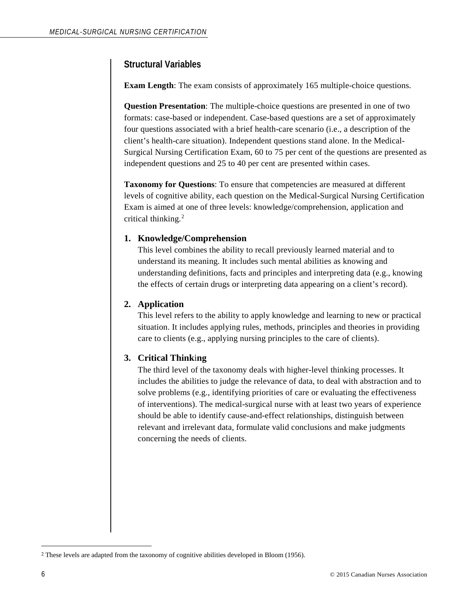#### **Structural Variables**

**Exam Length**: The exam consists of approximately 165 multiple-choice questions*.*

**Question Presentation**: The multiple-choice questions are presented in one of two formats: case-based or independent. Case-based questions are a set of approximately four questions associated with a brief health-care scenario (i.e., a description of the client's health-care situation). Independent questions stand alone. In the Medical-Surgical Nursing Certification Exam, 60 to 75 per cent of the questions are presented as independent questions and 25 to 40 per cent are presented within cases.

**Taxonomy for Questions**: To ensure that competencies are measured at different levels of cognitive ability, each question on the Medical-Surgical Nursing Certification Exam is aimed at one of three levels: knowledge/comprehension, application and critical thinking.<sup>[2](#page-5-0)</sup>

#### **1. Knowledge/Comprehension**

This level combines the ability to recall previously learned material and to understand its meaning. It includes such mental abilities as knowing and understanding definitions, facts and principles and interpreting data (e.g., knowing the effects of certain drugs or interpreting data appearing on a client's record).

#### **2. Application**

This level refers to the ability to apply knowledge and learning to new or practical situation. It includes applying rules, methods, principles and theories in providing care to clients (e.g., applying nursing principles to the care of clients).

#### **3. Critical Think**i**ng**

The third level of the taxonomy deals with higher-level thinking processes. It includes the abilities to judge the relevance of data, to deal with abstraction and to solve problems (e.g., identifying priorities of care or evaluating the effectiveness of interventions). The medical-surgical nurse with at least two years of experience should be able to identify cause-and-effect relationships, distinguish between relevant and irrelevant data, formulate valid conclusions and make judgments concerning the needs of clients.

 $\overline{a}$ 

<span id="page-5-0"></span><sup>2</sup> These levels are adapted from the taxonomy of cognitive abilities developed in Bloom (1956).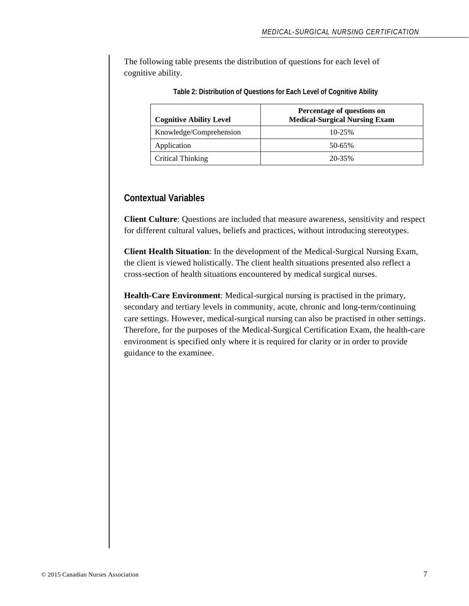The following table presents the distribution of questions for each level of cognitive ability.

| <b>Cognitive Ability Level</b> | Percentage of questions on<br><b>Medical-Surgical Nursing Exam</b> |  |
|--------------------------------|--------------------------------------------------------------------|--|
| Knowledge/Comprehension        | $10 - 25%$                                                         |  |
| Application                    | 50-65%                                                             |  |
| Critical Thinking              | 20-35%                                                             |  |

**Table 2: Distribution of Questions for Each Level of Cognitive Ability**

#### **Contextual Variables**

**Client Culture**: Questions are included that measure awareness, sensitivity and respect for different cultural values, beliefs and practices, without introducing stereotypes.

**Client Health Situation**: In the development of the Medical-Surgical Nursing Exam, the client is viewed holistically. The client health situations presented also reflect a cross-section of health situations encountered by medical surgical nurses.

**Health-Care Environment**: Medical-surgical nursing is practised in the primary, secondary and tertiary levels in community, acute, chronic and long-term/continuing care settings. However, medical-surgical nursing can also be practised in other settings. Therefore, for the purposes of the Medical-Surgical Certification Exam, the health-care environment is specified only where it is required for clarity or in order to provide guidance to the examinee.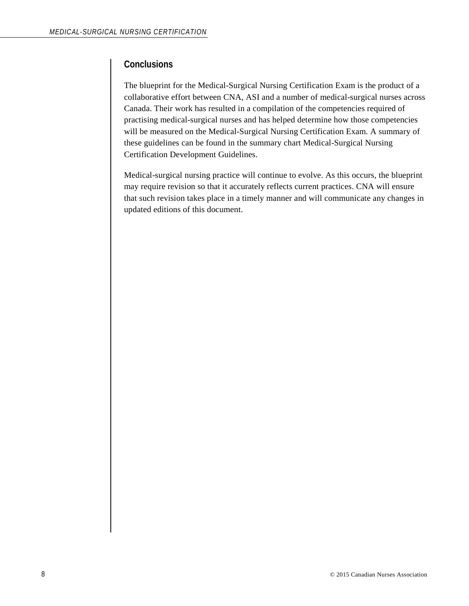#### **Conclusions**

The blueprint for the Medical-Surgical Nursing Certification Exam is the product of a collaborative effort between CNA, ASI and a number of medical-surgical nurses across Canada. Their work has resulted in a compilation of the competencies required of practising medical-surgical nurses and has helped determine how those competencies will be measured on the Medical-Surgical Nursing Certification Exam. A summary of these guidelines can be found in the summary chart Medical-Surgical Nursing Certification Development Guidelines.

Medical-surgical nursing practice will continue to evolve. As this occurs, the blueprint may require revision so that it accurately reflects current practices. CNA will ensure that such revision takes place in a timely manner and will communicate any changes in updated editions of this document.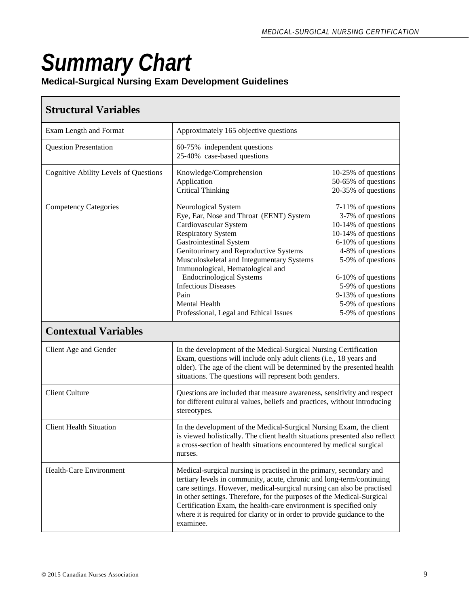# *Summary Chart*

#### **Medical-Surgical Nursing Exam Development Guidelines**

### **Structural Variables**

| Exam Length and Format                       | Approximately 165 objective questions                                                                                                                                                                                                                                                                                                                                                                                                                         |                                                                                                                                                                                                                                                                  |  |
|----------------------------------------------|---------------------------------------------------------------------------------------------------------------------------------------------------------------------------------------------------------------------------------------------------------------------------------------------------------------------------------------------------------------------------------------------------------------------------------------------------------------|------------------------------------------------------------------------------------------------------------------------------------------------------------------------------------------------------------------------------------------------------------------|--|
| <b>Question Presentation</b>                 | 60-75% independent questions<br>25-40% case-based questions                                                                                                                                                                                                                                                                                                                                                                                                   |                                                                                                                                                                                                                                                                  |  |
| <b>Cognitive Ability Levels of Questions</b> | Knowledge/Comprehension<br>Application<br><b>Critical Thinking</b>                                                                                                                                                                                                                                                                                                                                                                                            | 10-25% of questions<br>50-65% of questions<br>20-35% of questions                                                                                                                                                                                                |  |
| <b>Competency Categories</b>                 | Neurological System<br>Eye, Ear, Nose and Throat (EENT) System<br>Cardiovascular System<br><b>Respiratory System</b><br>Gastrointestinal System<br>Genitourinary and Reproductive Systems<br>Musculoskeletal and Integumentary Systems<br>Immunological, Hematological and<br><b>Endocrinological Systems</b><br><b>Infectious Diseases</b><br>Pain<br><b>Mental Health</b><br>Professional, Legal and Ethical Issues                                         | 7-11% of questions<br>3-7% of questions<br>10-14% of questions<br>10-14% of questions<br>6-10% of questions<br>4-8% of questions<br>5-9% of questions<br>6-10% of questions<br>5-9% of questions<br>9-13% of questions<br>5-9% of questions<br>5-9% of questions |  |
| <b>Contextual Variables</b>                  |                                                                                                                                                                                                                                                                                                                                                                                                                                                               |                                                                                                                                                                                                                                                                  |  |
| Client Age and Gender                        | In the development of the Medical-Surgical Nursing Certification<br>Exam, questions will include only adult clients (i.e., 18 years and<br>older). The age of the client will be determined by the presented health<br>situations. The questions will represent both genders.                                                                                                                                                                                 |                                                                                                                                                                                                                                                                  |  |
| <b>Client Culture</b>                        | Questions are included that measure awareness, sensitivity and respect<br>for different cultural values, beliefs and practices, without introducing<br>stereotypes.                                                                                                                                                                                                                                                                                           |                                                                                                                                                                                                                                                                  |  |
| <b>Client Health Situation</b>               | In the development of the Medical-Surgical Nursing Exam, the client<br>is viewed holistically. The client health situations presented also reflect<br>a cross-section of health situations encountered by medical surgical<br>nurses.                                                                                                                                                                                                                         |                                                                                                                                                                                                                                                                  |  |
| <b>Health-Care Environment</b>               | Medical-surgical nursing is practised in the primary, secondary and<br>tertiary levels in community, acute, chronic and long-term/continuing<br>care settings. However, medical-surgical nursing can also be practised<br>in other settings. Therefore, for the purposes of the Medical-Surgical<br>Certification Exam, the health-care environment is specified only<br>where it is required for clarity or in order to provide guidance to the<br>examinee. |                                                                                                                                                                                                                                                                  |  |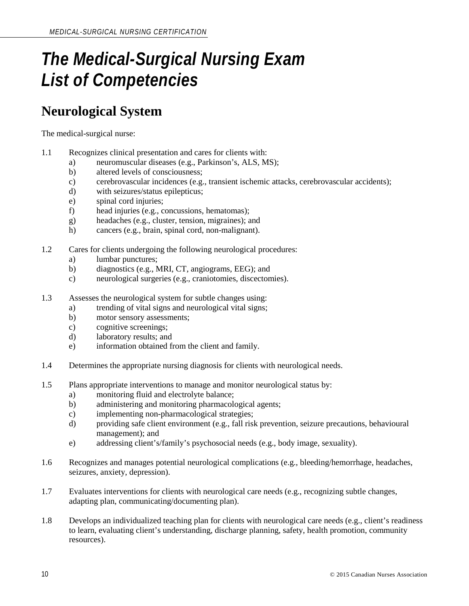## *The Medical-Surgical Nursing Exam List of Competencies*

## **Neurological System**

- 1.1 Recognizes clinical presentation and cares for clients with:
	- a) neuromuscular diseases (e.g., Parkinson's, ALS, MS);
	- b) altered levels of consciousness;
	- c) cerebrovascular incidences (e.g., transient ischemic attacks, cerebrovascular accidents);
	- d) with seizures/status epilepticus;
	- e) spinal cord injuries;
	- f) head injuries (e.g., concussions, hematomas);
	- g) headaches (e.g., cluster, tension, migraines); and
	- h) cancers (e.g., brain, spinal cord, non-malignant).
- 1.2 Cares for clients undergoing the following neurological procedures:
	- a) lumbar punctures;
	- b) diagnostics (e.g., MRI, CT, angiograms, EEG); and
	- c) neurological surgeries (e.g., craniotomies, discectomies).
- 1.3 Assesses the neurological system for subtle changes using:
	- a) trending of vital signs and neurological vital signs;
	- b) motor sensory assessments;
	- c) cognitive screenings;
	- d) laboratory results; and
	- e) information obtained from the client and family.
- 1.4 Determines the appropriate nursing diagnosis for clients with neurological needs.
- 1.5 Plans appropriate interventions to manage and monitor neurological status by:
	- a) monitoring fluid and electrolyte balance;
	- b) administering and monitoring pharmacological agents;
	- c) implementing non-pharmacological strategies;
	- d) providing safe client environment (e.g., fall risk prevention, seizure precautions, behavioural management); and
	- e) addressing client's/family's psychosocial needs (e.g., body image, sexuality).
- 1.6 Recognizes and manages potential neurological complications (e.g., bleeding/hemorrhage, headaches, seizures, anxiety, depression).
- 1.7 Evaluates interventions for clients with neurological care needs (e.g., recognizing subtle changes, adapting plan, communicating/documenting plan).
- 1.8 Develops an individualized teaching plan for clients with neurological care needs (e.g., client's readiness to learn, evaluating client's understanding, discharge planning, safety, health promotion, community resources).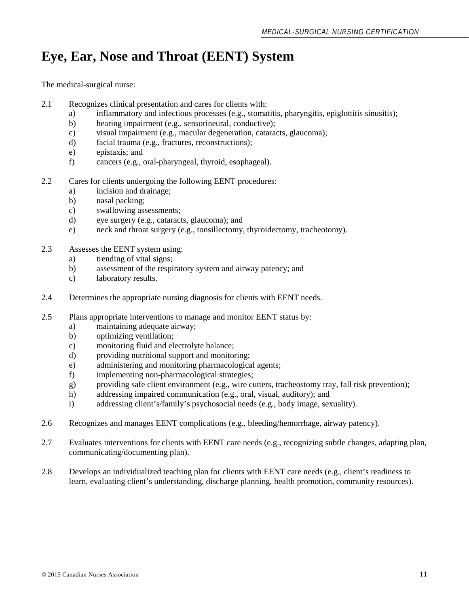## **Eye, Ear, Nose and Throat (EENT) System**

- 2.1 Recognizes clinical presentation and cares for clients with:
	- a) inflammatory and infectious processes (e.g., stomatitis, pharyngitis, epiglottitis sinusitis);
	- b) hearing impairment (e.g., sensorineural, conductive);
	- c) visual impairment (e.g., macular degeneration, cataracts, glaucoma);
	- d) facial trauma (e.g., fractures, reconstructions);
	- e) epistaxis; and
	- f) cancers (e.g., oral-pharyngeal, thyroid, esophageal).
- 2.2 Cares for clients undergoing the following EENT procedures:
	- a) incision and drainage;
	- b) nasal packing;
	- c) swallowing assessments;
	- d) eye surgery (e.g., cataracts, glaucoma); and
	- e) neck and throat surgery (e.g., tonsillectomy, thyroidectomy, tracheotomy).
- 2.3 Assesses the EENT system using:
	- a) trending of vital signs;
	- b) assessment of the respiratory system and airway patency; and
	- c) laboratory results.
- 2.4 Determines the appropriate nursing diagnosis for clients with EENT needs.
- 2.5 Plans appropriate interventions to manage and monitor EENT status by:
	- a) maintaining adequate airway;
	- b) optimizing ventilation;
	- c) monitoring fluid and electrolyte balance;
	- d) providing nutritional support and monitoring;
	- e) administering and monitoring pharmacological agents;
	- f) implementing non-pharmacological strategies;
	- g) providing safe client environment (e.g., wire cutters, tracheostomy tray, fall risk prevention);
	- h) addressing impaired communication (e.g., oral, visual, auditory); and
	- i) addressing client's/family's psychosocial needs (e.g., body image, sexuality).
- 2.6 Recognizes and manages EENT complications (e.g., bleeding/hemorrhage, airway patency).
- 2.7 Evaluates interventions for clients with EENT care needs (e.g., recognizing subtle changes, adapting plan, communicating/documenting plan).
- 2.8 Develops an individualized teaching plan for clients with EENT care needs (e.g., client's readiness to learn, evaluating client's understanding, discharge planning, health promotion, community resources).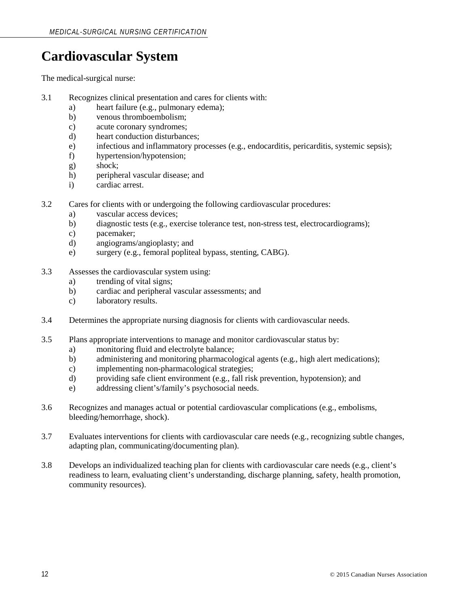## **Cardiovascular System**

- 3.1 Recognizes clinical presentation and cares for clients with:
	- a) heart failure (e.g., pulmonary edema);
	- b) venous thromboembolism;
	- c) acute coronary syndromes;
	- d) heart conduction disturbances;
	- e) infectious and inflammatory processes (e.g., endocarditis, pericarditis, systemic sepsis);
	- f) hypertension/hypotension;
	- g) shock;
	- h) peripheral vascular disease; and
	- i) cardiac arrest.
- 3.2 Cares for clients with or undergoing the following cardiovascular procedures:
	- a) vascular access devices;
	- b) diagnostic tests (e.g., exercise tolerance test, non-stress test, electrocardiograms);
	- c) pacemaker;
	- d) angiograms/angioplasty; and
	- e) surgery (e.g., femoral popliteal bypass, stenting, CABG).
- 3.3 Assesses the cardiovascular system using:
	- a) trending of vital signs;
	- b) cardiac and peripheral vascular assessments; and
	- c) laboratory results.
- 3.4 Determines the appropriate nursing diagnosis for clients with cardiovascular needs.
- 3.5 Plans appropriate interventions to manage and monitor cardiovascular status by:
	- a) monitoring fluid and electrolyte balance;
	- b) administering and monitoring pharmacological agents (e.g., high alert medications);
	- c) implementing non-pharmacological strategies;
	- d) providing safe client environment (e.g., fall risk prevention, hypotension); and
	- e) addressing client's/family's psychosocial needs.
- 3.6 Recognizes and manages actual or potential cardiovascular complications (e.g., embolisms, bleeding/hemorrhage, shock).
- 3.7 Evaluates interventions for clients with cardiovascular care needs (e.g., recognizing subtle changes, adapting plan, communicating/documenting plan).
- 3.8 Develops an individualized teaching plan for clients with cardiovascular care needs (e.g., client's readiness to learn, evaluating client's understanding, discharge planning, safety, health promotion, community resources).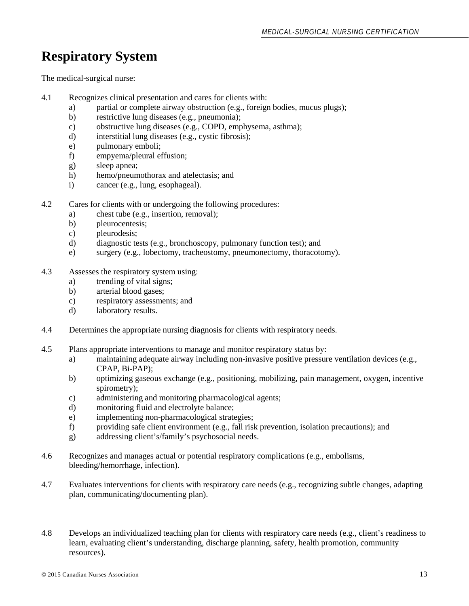## **Respiratory System**

- 4.1 Recognizes clinical presentation and cares for clients with:
	- a) partial or complete airway obstruction (e.g., foreign bodies, mucus plugs);
	- b) restrictive lung diseases (e.g., pneumonia);
	- c) obstructive lung diseases (e.g., COPD, emphysema, asthma);
	- d) interstitial lung diseases (e.g., cystic fibrosis);
	- e) pulmonary emboli;
	- f) empyema/pleural effusion;
	- g) sleep apnea;
	- h) hemo/pneumothorax and atelectasis; and
	- i) cancer (e.g., lung, esophageal).
- 4.2 Cares for clients with or undergoing the following procedures:
	- a) chest tube (e.g., insertion, removal);
	- b) pleurocentesis;
	- c) pleurodesis;
	- d) diagnostic tests (e.g., bronchoscopy, pulmonary function test); and
	- e) surgery (e.g., lobectomy, tracheostomy, pneumonectomy, thoracotomy).
- 4.3 Assesses the respiratory system using:
	- a) trending of vital signs;
	- b) arterial blood gases;
	- c) respiratory assessments; and
	- d) laboratory results.
- 4.4 Determines the appropriate nursing diagnosis for clients with respiratory needs.
- 4.5 Plans appropriate interventions to manage and monitor respiratory status by:
	- a) maintaining adequate airway including non-invasive positive pressure ventilation devices (e.g., CPAP, Bi-PAP);
	- b) optimizing gaseous exchange (e.g., positioning, mobilizing, pain management, oxygen, incentive spirometry);
	- c) administering and monitoring pharmacological agents;
	- d) monitoring fluid and electrolyte balance;
	- e) implementing non-pharmacological strategies;
	- f) providing safe client environment (e.g., fall risk prevention, isolation precautions); and
	- g) addressing client's/family's psychosocial needs.
- 4.6 Recognizes and manages actual or potential respiratory complications (e.g., embolisms, bleeding/hemorrhage, infection).
- 4.7 Evaluates interventions for clients with respiratory care needs (e.g., recognizing subtle changes, adapting plan, communicating/documenting plan).
- 4.8 Develops an individualized teaching plan for clients with respiratory care needs (e.g., client's readiness to learn, evaluating client's understanding, discharge planning, safety, health promotion, community resources).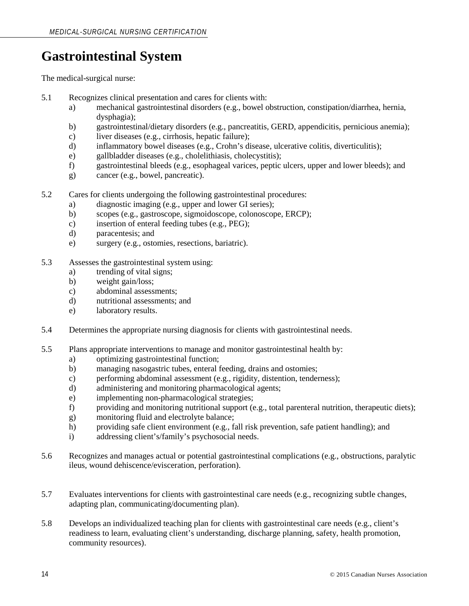## **Gastrointestinal System**

- 5.1 Recognizes clinical presentation and cares for clients with:
	- a) mechanical gastrointestinal disorders (e.g., bowel obstruction, constipation/diarrhea, hernia, dysphagia);
	- b) gastrointestinal/dietary disorders (e.g., pancreatitis, GERD, appendicitis, pernicious anemia);
	- c) liver diseases (e.g., cirrhosis, hepatic failure);
	- d) inflammatory bowel diseases (e.g., Crohn's disease, ulcerative colitis, diverticulitis);
	- e) gallbladder diseases (e.g., cholelithiasis, cholecystitis);
	- f) gastrointestinal bleeds (e.g., esophageal varices, peptic ulcers, upper and lower bleeds); and
	- g) cancer (e.g., bowel, pancreatic).
- 5.2 Cares for clients undergoing the following gastrointestinal procedures:
	- a) diagnostic imaging (e.g., upper and lower GI series);
	- b) scopes (e.g., gastroscope, sigmoidoscope, colonoscope, ERCP);
	- c) insertion of enteral feeding tubes (e.g., PEG);
	- d) paracentesis; and
	- e) surgery (e.g., ostomies, resections, bariatric).
- 5.3 Assesses the gastrointestinal system using:
	- a) trending of vital signs;
	- b) weight gain/loss;
	- c) abdominal assessments;
	- d) nutritional assessments; and
	- e) laboratory results.
- 5.4 Determines the appropriate nursing diagnosis for clients with gastrointestinal needs.
- 5.5 Plans appropriate interventions to manage and monitor gastrointestinal health by:
	- a) optimizing gastrointestinal function;
	- b) managing nasogastric tubes, enteral feeding, drains and ostomies;
	- c) performing abdominal assessment (e.g., rigidity, distention, tenderness);
	- d) administering and monitoring pharmacological agents;
	- e) implementing non-pharmacological strategies;
	- f) providing and monitoring nutritional support (e.g., total parenteral nutrition, therapeutic diets);
	- g) monitoring fluid and electrolyte balance;
	- h) providing safe client environment (e.g., fall risk prevention, safe patient handling); and
	- i) addressing client's/family's psychosocial needs.
- 5.6 Recognizes and manages actual or potential gastrointestinal complications (e.g., obstructions, paralytic ileus, wound dehiscence/evisceration, perforation).
- 5.7 Evaluates interventions for clients with gastrointestinal care needs (e.g., recognizing subtle changes, adapting plan, communicating/documenting plan).
- 5.8 Develops an individualized teaching plan for clients with gastrointestinal care needs (e.g., client's readiness to learn, evaluating client's understanding, discharge planning, safety, health promotion, community resources).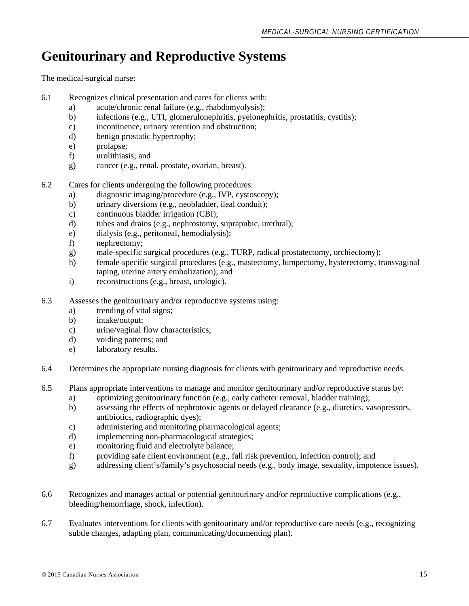## **Genitourinary and Reproductive Systems**

- 6.1 Recognizes clinical presentation and cares for clients with:
	- a) acute/chronic renal failure (e.g., rhabdomyolysis);
	- b) infections (e.g., UTI, glomerulonephritis, pyelonephritis, prostatitis, cystitis);
	- c) incontinence, urinary retention and obstruction;
	- d) benign prostatic hypertrophy;
	- e) prolapse;
	- f) urolithiasis; and
	- g) cancer (e.g., renal, prostate, ovarian, breast).
- 6.2 Cares for clients undergoing the following procedures:
	- a) diagnostic imaging/procedure (e.g., IVP, cystoscopy);
	- b) urinary diversions (e.g., neobladder, ileal conduit);
	- c) continuous bladder irrigation (CBI);
	- d) tubes and drains (e.g., nephrostomy, suprapubic, urethral);
	- e) dialysis (e.g., peritoneal, hemodialysis);
	- f) nephrectomy;
	- g) male-specific surgical procedures (e.g., TURP, radical prostatectomy, orchiectomy);
	- h) female-specific surgical procedures (e.g., mastectomy, lumpectomy, hysterectomy, transvaginal taping, uterine artery embolization); and
	- i) reconstructions (e.g., breast, urologic).
- 6.3 Assesses the genitourinary and/or reproductive systems using:
	- a) trending of vital signs;
	- b) intake/output;
	- c) urine/vaginal flow characteristics;
	- d) voiding patterns; and
	- e) laboratory results.
- 6.4 Determines the appropriate nursing diagnosis for clients with genitourinary and reproductive needs.
- 6.5 Plans appropriate interventions to manage and monitor genitourinary and/or reproductive status by:
	- a) optimizing genitourinary function (e.g., early catheter removal, bladder training);
	- b) assessing the effects of nephrotoxic agents or delayed clearance (e.g., diuretics, vasopressors, antibiotics, radiographic dyes);
	- c) administering and monitoring pharmacological agents;
	- d) implementing non-pharmacological strategies;
	- e) monitoring fluid and electrolyte balance;
	- f) providing safe client environment (e.g., fall risk prevention, infection control); and
	- g) addressing client's/family's psychosocial needs (e.g., body image, sexuality, impotence issues).
- 6.6 Recognizes and manages actual or potential genitourinary and/or reproductive complications (e.g., bleeding/hemorrhage, shock, infection).
- 6.7 Evaluates interventions for clients with genitourinary and/or reproductive care needs (e.g., recognizing subtle changes, adapting plan, communicating/documenting plan).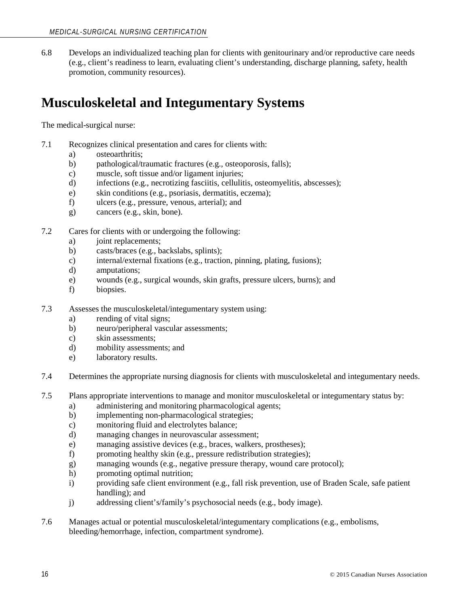6.8 Develops an individualized teaching plan for clients with genitourinary and/or reproductive care needs (e.g., client's readiness to learn, evaluating client's understanding, discharge planning, safety, health promotion, community resources).

## **Musculoskeletal and Integumentary Systems**

- 7.1 Recognizes clinical presentation and cares for clients with:
	- a) osteoarthritis;
	- b) pathological/traumatic fractures (e.g., osteoporosis, falls);
	- c) muscle, soft tissue and/or ligament injuries;
	- d) infections (e.g., necrotizing fasciitis, cellulitis, osteomyelitis, abscesses);
	- e) skin conditions (e.g., psoriasis, dermatitis, eczema);
	- f) ulcers (e.g., pressure, venous, arterial); and
	- g) cancers (e.g., skin, bone).
- 7.2 Cares for clients with or undergoing the following:
	- a) joint replacements;
	- b) casts/braces (e.g., backslabs, splints);
	- c) internal/external fixations (e.g., traction, pinning, plating, fusions);
	- d) amputations;
	- e) wounds (e.g., surgical wounds, skin grafts, pressure ulcers, burns); and
	- f) biopsies.
- 7.3 Assesses the musculoskeletal/integumentary system using:
	- a) rending of vital signs;
	- b) neuro/peripheral vascular assessments;
	- c) skin assessments;
	- d) mobility assessments; and
	- e) laboratory results.
- 7.4 Determines the appropriate nursing diagnosis for clients with musculoskeletal and integumentary needs.
- 7.5 Plans appropriate interventions to manage and monitor musculoskeletal or integumentary status by:
	- a) administering and monitoring pharmacological agents;
	- b) implementing non-pharmacological strategies;
	- c) monitoring fluid and electrolytes balance;
	- d) managing changes in neurovascular assessment;
	- e) managing assistive devices (e.g., braces, walkers, prostheses);
	- f) promoting healthy skin (e.g., pressure redistribution strategies);
	- g) managing wounds (e.g., negative pressure therapy, wound care protocol);
	- h) promoting optimal nutrition;
	- i) providing safe client environment (e.g., fall risk prevention, use of Braden Scale, safe patient handling); and
	- j) addressing client's/family's psychosocial needs (e.g., body image).
- 7.6 Manages actual or potential musculoskeletal/integumentary complications (e.g., embolisms, bleeding/hemorrhage, infection, compartment syndrome).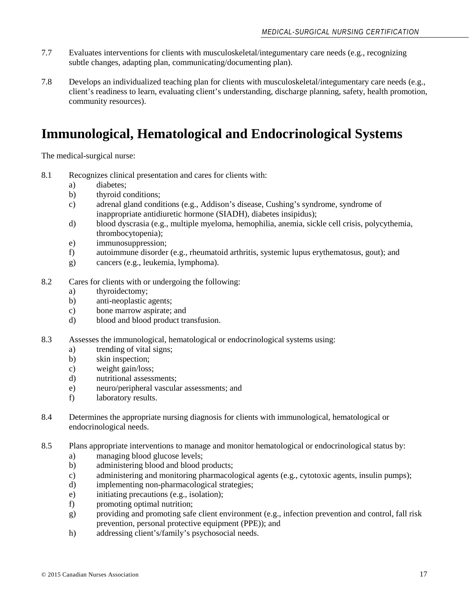- 7.7 Evaluates interventions for clients with musculoskeletal/integumentary care needs (e.g., recognizing subtle changes, adapting plan, communicating/documenting plan).
- 7.8 Develops an individualized teaching plan for clients with musculoskeletal/integumentary care needs (e.g., client's readiness to learn, evaluating client's understanding, discharge planning, safety, health promotion, community resources).

## **Immunological, Hematological and Endocrinological Systems**

- 8.1 Recognizes clinical presentation and cares for clients with:
	- a) diabetes;
	- b) thyroid conditions;
	- c) adrenal gland conditions (e.g., Addison's disease, Cushing's syndrome, syndrome of inappropriate antidiuretic hormone (SIADH), diabetes insipidus);
	- d) blood dyscrasia (e.g., multiple myeloma, hemophilia, anemia, sickle cell crisis, polycythemia, thrombocytopenia);
	- e) immunosuppression;
	- f) autoimmune disorder (e.g., rheumatoid arthritis, systemic lupus erythematosus, gout); and
	- g) cancers (e.g., leukemia, lymphoma).
- 8.2 Cares for clients with or undergoing the following:
	- a) thyroidectomy;
	- b) anti-neoplastic agents;
	- c) bone marrow aspirate; and
	- d) blood and blood product transfusion.
- 8.3 Assesses the immunological, hematological or endocrinological systems using:
	- a) trending of vital signs;
	- b) skin inspection;
	- c) weight gain/loss;
	- d) nutritional assessments;
	- e) neuro/peripheral vascular assessments; and
	- f) laboratory results.
- 8.4 Determines the appropriate nursing diagnosis for clients with immunological, hematological or endocrinological needs.
- 8.5 Plans appropriate interventions to manage and monitor hematological or endocrinological status by:
	- a) managing blood glucose levels;
	- b) administering blood and blood products;
	- c) administering and monitoring pharmacological agents (e.g., cytotoxic agents, insulin pumps);
	- d) implementing non-pharmacological strategies;
	- e) initiating precautions (e.g., isolation);
	- f) promoting optimal nutrition;
	- g) providing and promoting safe client environment (e.g., infection prevention and control, fall risk prevention, personal protective equipment (PPE)); and
	- h) addressing client's/family's psychosocial needs.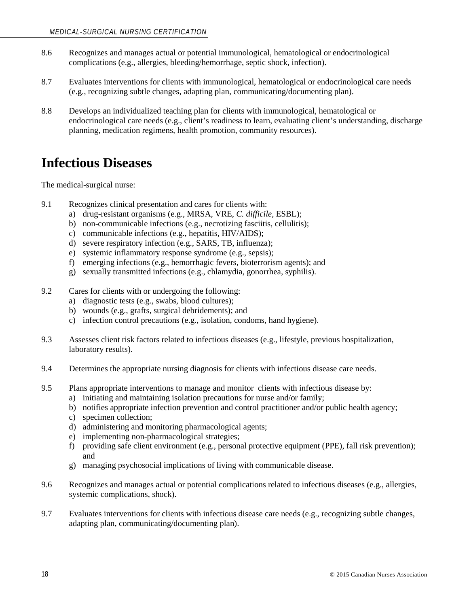- 8.6 Recognizes and manages actual or potential immunological, hematological or endocrinological complications (e.g., allergies, bleeding/hemorrhage, septic shock, infection).
- 8.7 Evaluates interventions for clients with immunological, hematological or endocrinological care needs (e.g., recognizing subtle changes, adapting plan, communicating/documenting plan).
- 8.8 Develops an individualized teaching plan for clients with immunological, hematological or endocrinological care needs (e.g., client's readiness to learn, evaluating client's understanding, discharge planning, medication regimens, health promotion, community resources).

## **Infectious Diseases**

- 9.1 Recognizes clinical presentation and cares for clients with:
	- a) drug-resistant organisms (e.g., MRSA, VRE, *C. difficile*, ESBL);
	- b) non-communicable infections (e.g., necrotizing fasciitis, cellulitis);
	- c) communicable infections (e.g., hepatitis, HIV/AIDS);
	- d) severe respiratory infection (e.g., SARS, TB, influenza);
	- e) systemic inflammatory response syndrome (e.g., sepsis);
	- f) emerging infections (e.g., hemorrhagic fevers, bioterrorism agents); and
	- g) sexually transmitted infections (e.g., chlamydia, gonorrhea, syphilis).
- 9.2 Cares for clients with or undergoing the following:
	- a) diagnostic tests (e.g., swabs, blood cultures);
	- b) wounds (e.g., grafts, surgical debridements); and
	- c) infection control precautions (e.g., isolation, condoms, hand hygiene).
- 9.3 Assesses client risk factors related to infectious diseases (e.g., lifestyle, previous hospitalization, laboratory results).
- 9.4 Determines the appropriate nursing diagnosis for clients with infectious disease care needs.
- 9.5 Plans appropriate interventions to manage and monitor clients with infectious disease by:
	- a) initiating and maintaining isolation precautions for nurse and/or family;
	- b) notifies appropriate infection prevention and control practitioner and/or public health agency;
	- c) specimen collection;
	- d) administering and monitoring pharmacological agents;
	- e) implementing non-pharmacological strategies;
	- f) providing safe client environment (e.g., personal protective equipment (PPE), fall risk prevention); and
	- g) managing psychosocial implications of living with communicable disease.
- 9.6 Recognizes and manages actual or potential complications related to infectious diseases (e.g., allergies, systemic complications, shock).
- 9.7 Evaluates interventions for clients with infectious disease care needs (e.g., recognizing subtle changes, adapting plan, communicating/documenting plan).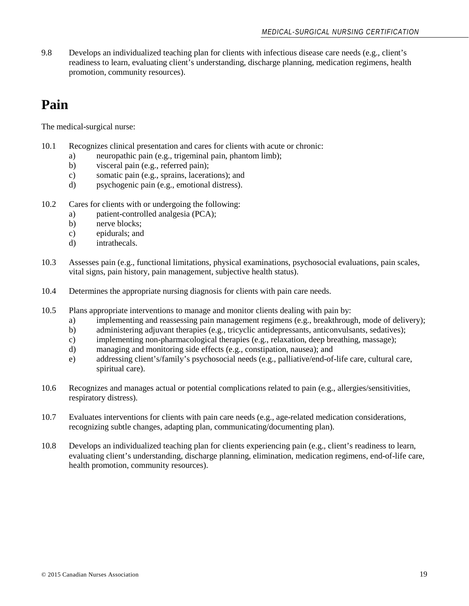9.8 Develops an individualized teaching plan for clients with infectious disease care needs (e.g., client's readiness to learn, evaluating client's understanding, discharge planning, medication regimens, health promotion, community resources).

## **Pain**

- 10.1 Recognizes clinical presentation and cares for clients with acute or chronic:
	- a) neuropathic pain (e.g., trigeminal pain, phantom limb);
	- b) visceral pain (e.g., referred pain);
	- c) somatic pain (e.g., sprains, lacerations); and
	- d) psychogenic pain (e.g., emotional distress).
- 10.2 Cares for clients with or undergoing the following:
	- a) patient-controlled analgesia (PCA);<br>b) nerve blocks;
	- nerve blocks;
	- c) epidurals; and
	- d) intrathecals.
- 10.3 Assesses pain (e.g., functional limitations, physical examinations, psychosocial evaluations, pain scales, vital signs, pain history, pain management, subjective health status).
- 10.4 Determines the appropriate nursing diagnosis for clients with pain care needs.
- 10.5 Plans appropriate interventions to manage and monitor clients dealing with pain by:
	- a) implementing and reassessing pain management regimens (e.g., breakthrough, mode of delivery);
	- b) administering adjuvant therapies (e.g., tricyclic antidepressants, anticonvulsants, sedatives);
	- c) implementing non-pharmacological therapies (e.g., relaxation, deep breathing, massage);
	- d) managing and monitoring side effects (e.g., constipation, nausea); and
	- e) addressing client's/family's psychosocial needs (e.g., palliative/end-of-life care, cultural care, spiritual care).
- 10.6 Recognizes and manages actual or potential complications related to pain (e.g., allergies/sensitivities, respiratory distress).
- 10.7 Evaluates interventions for clients with pain care needs (e.g., age-related medication considerations, recognizing subtle changes, adapting plan, communicating/documenting plan).
- 10.8 Develops an individualized teaching plan for clients experiencing pain (e.g., client's readiness to learn, evaluating client's understanding, discharge planning, elimination, medication regimens, end-of-life care, health promotion, community resources).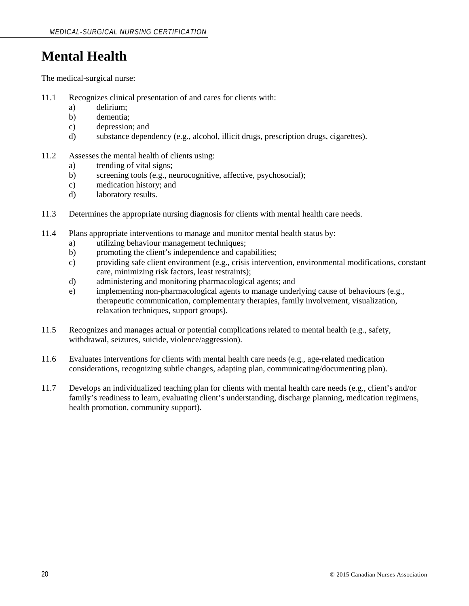## **Mental Health**

- 11.1 Recognizes clinical presentation of and cares for clients with:
	- a) delirium;
	- b) dementia;
	- c) depression; and
	- d) substance dependency (e.g., alcohol, illicit drugs, prescription drugs, cigarettes).
- 11.2 Assesses the mental health of clients using:
	- a) trending of vital signs;
	- b) screening tools (e.g., neurocognitive, affective, psychosocial);
	- c) medication history; and
	- d) laboratory results.
- 11.3 Determines the appropriate nursing diagnosis for clients with mental health care needs.
- 11.4 Plans appropriate interventions to manage and monitor mental health status by:
	- a) utilizing behaviour management techniques;
	- b) promoting the client's independence and capabilities;
	- c) providing safe client environment (e.g., crisis intervention, environmental modifications, constant care, minimizing risk factors, least restraints);
	- d) administering and monitoring pharmacological agents; and
	- e) implementing non-pharmacological agents to manage underlying cause of behaviours (e.g., therapeutic communication, complementary therapies, family involvement, visualization, relaxation techniques, support groups).
- 11.5 Recognizes and manages actual or potential complications related to mental health (e.g., safety, withdrawal, seizures, suicide, violence/aggression).
- 11.6 Evaluates interventions for clients with mental health care needs (e.g., age-related medication considerations, recognizing subtle changes, adapting plan, communicating/documenting plan).
- 11.7 Develops an individualized teaching plan for clients with mental health care needs (e.g., client's and/or family's readiness to learn, evaluating client's understanding, discharge planning, medication regimens, health promotion, community support).